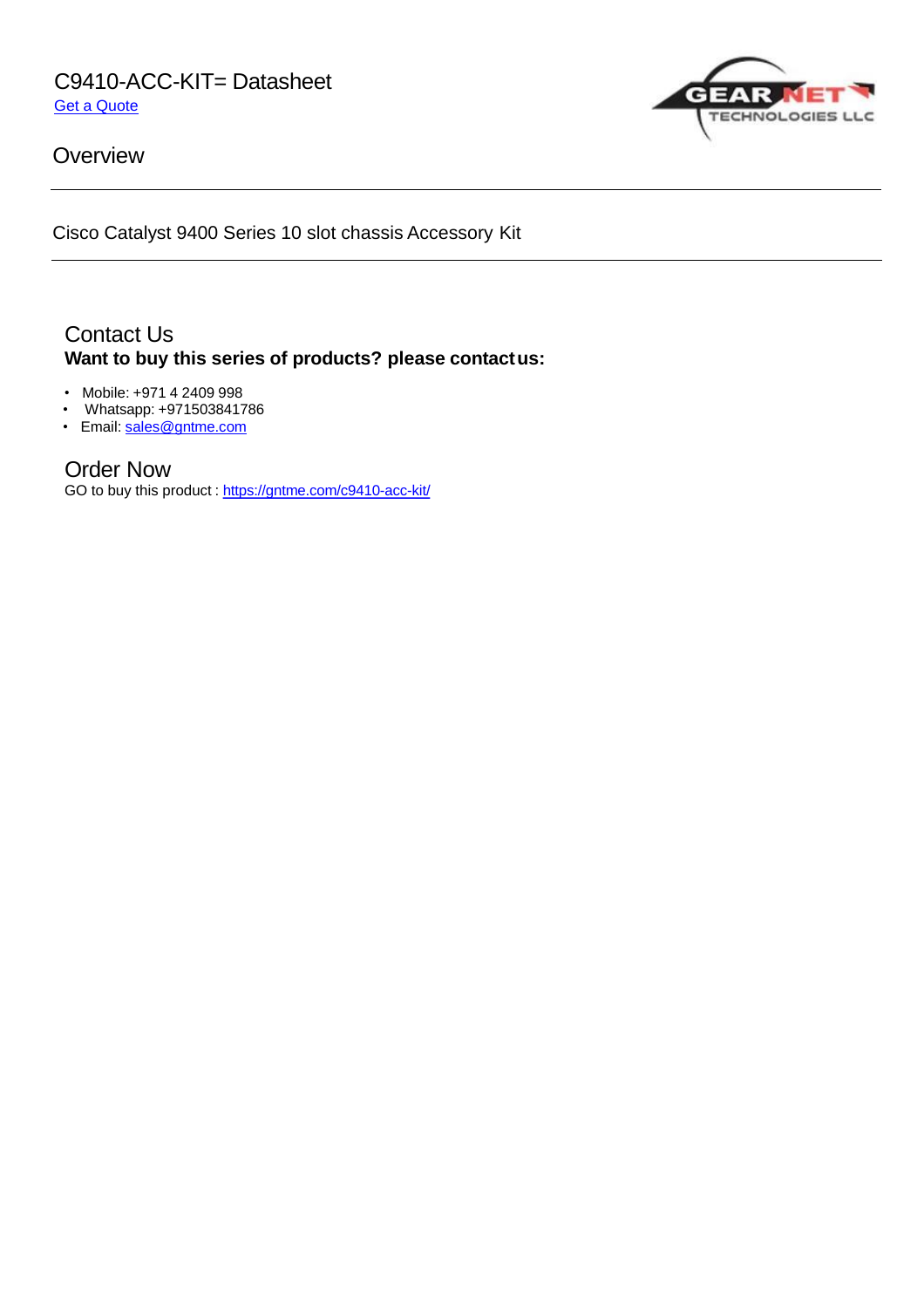C9410-ACC-KIT= Datasheet Get a [Quote](https://gntme.com/c9410-acc-kit/)



**Overview** 

Cisco Catalyst 9400 Series 10 slot chassis Accessory Kit

# Contact Us **Want to buy this series of products? please contactus:**

- Mobile: +971 4 2409 998
- Whatsapp: +971503841786
- Email: <u>[sales@gntme.com](mailto:sales@gntme.com)</u>

## Order Now

GO to buy this product : <https://gntme.com/c9410-acc-kit/>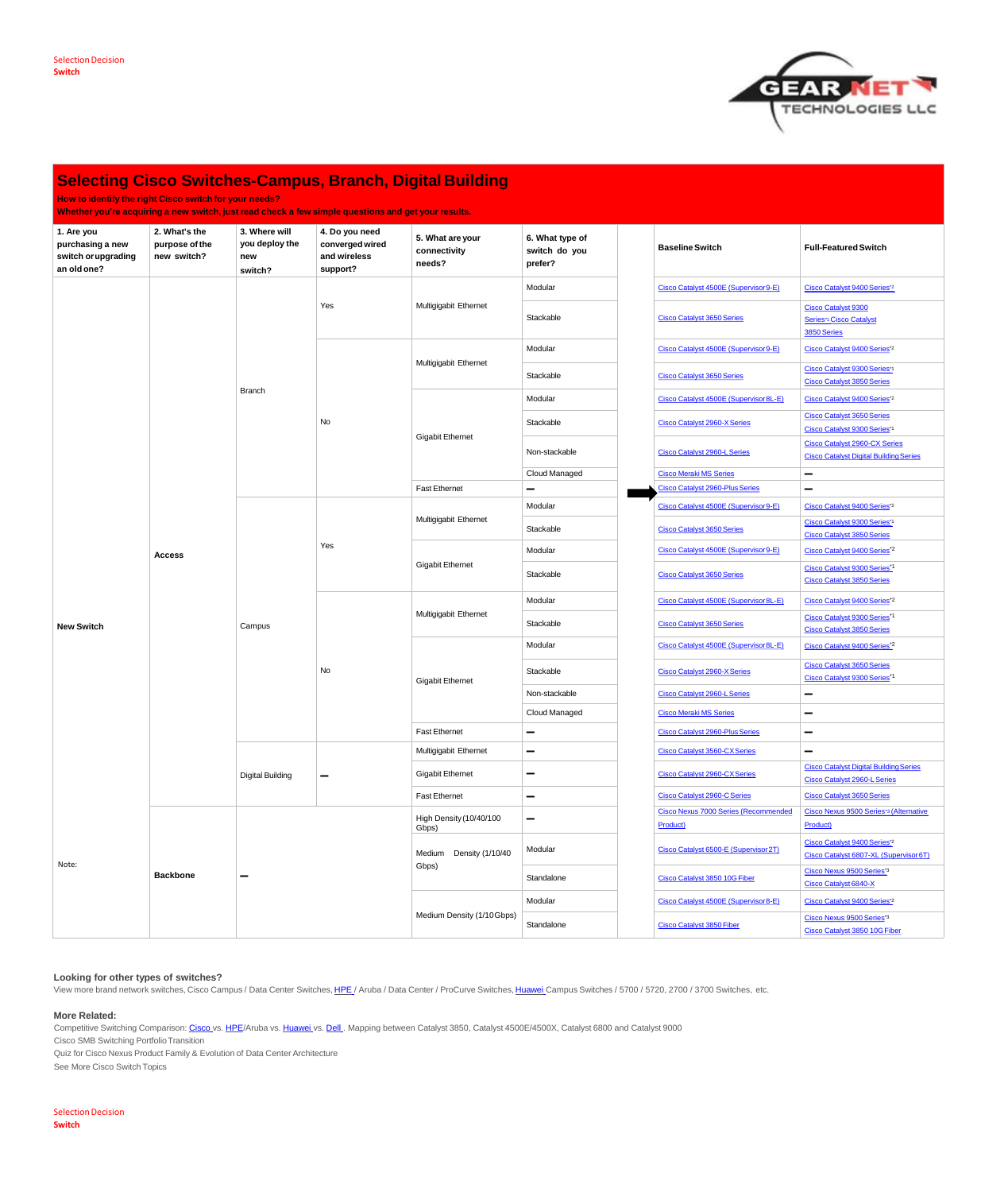**How to identify the right Cisco switch for your needs?**

**Whether you're acquiring a new switch, just read check a few simple questions and get your results.**

| 1. Are you<br>purchasing a new<br>switch or upgrading<br>an old one? | 2. What's the<br>purpose of the<br>new switch? | 3. Where will<br>you deploy the<br>new<br>switch? | 4. Do you need<br>converged wired<br>and wireless<br>support? | 5. What are your<br>connectivity<br>needs? | 6. What type of<br>switch do you<br>prefer? | <b>Baseline Switch</b>                      | <b>Full-Featured Switch</b>                                                           |
|----------------------------------------------------------------------|------------------------------------------------|---------------------------------------------------|---------------------------------------------------------------|--------------------------------------------|---------------------------------------------|---------------------------------------------|---------------------------------------------------------------------------------------|
|                                                                      |                                                | <b>Branch</b>                                     | Yes                                                           | Multigigabit Ethernet                      | Modular                                     | Cisco Catalyst 4500E (Supervisor 9-E)       | Cisco Catalyst 9400 Series*2                                                          |
|                                                                      |                                                |                                                   |                                                               |                                            | Stackable                                   | <b>Cisco Catalyst 3650 Series</b>           | <b>Cisco Catalyst 9300</b><br>Series* <sup>1</sup> Cisco Catalyst<br>3850 Series      |
|                                                                      |                                                |                                                   | No                                                            | Multigigabit Ethernet                      | Modular                                     | Cisco Catalyst 4500E (Supervisor 9-E)       | Cisco Catalyst 9400 Series*2                                                          |
|                                                                      |                                                |                                                   |                                                               |                                            | Stackable                                   | <b>Cisco Catalyst 3650 Series</b>           | Cisco Catalyst 9300 Series*1<br><b>Cisco Catalyst 3850 Series</b>                     |
|                                                                      |                                                |                                                   |                                                               | <b>Gigabit Ethernet</b>                    | Modular                                     | Cisco Catalyst 4500E (Supervisor 8L-E)      | Cisco Catalyst 9400 Series*2                                                          |
|                                                                      |                                                |                                                   |                                                               |                                            | Stackable                                   | <b>Cisco Catalyst 2960-X Series</b>         | <b>Cisco Catalyst 3650 Series</b><br>Cisco Catalyst 9300 Series*1                     |
|                                                                      |                                                |                                                   |                                                               |                                            | Non-stackable                               | <b>Cisco Catalyst 2960-L Series</b>         | <b>Cisco Catalyst 2960-CX Series</b><br><b>Cisco Catalyst Digital Building Series</b> |
|                                                                      |                                                |                                                   |                                                               |                                            | <b>Cloud Managed</b>                        | <b>Cisco Meraki MS Series</b>               | $\overline{\phantom{a}}$                                                              |
|                                                                      |                                                |                                                   |                                                               | <b>Fast Ethernet</b>                       | $\overline{\phantom{a}}$                    | Cisco Catalyst 2960-Plus Series             | $\sim$                                                                                |
|                                                                      | <b>Access</b>                                  | Campus                                            | Yes                                                           |                                            | Modular                                     | Cisco Catalyst 4500E (Supervisor 9-E)       | Cisco Catalyst 9400 Series*2                                                          |
|                                                                      |                                                |                                                   |                                                               | Multigigabit Ethernet                      | Stackable                                   | <b>Cisco Catalyst 3650 Series</b>           | Cisco Catalyst 9300 Series*1<br><b>Cisco Catalyst 3850 Series</b>                     |
|                                                                      |                                                |                                                   |                                                               |                                            | Modular                                     | Cisco Catalyst 4500E (Supervisor 9-E)       | Cisco Catalyst 9400 Series*2                                                          |
|                                                                      |                                                |                                                   |                                                               | <b>Gigabit Ethernet</b>                    | Stackable                                   | <b>Cisco Catalyst 3650 Series</b>           | Cisco Catalyst 9300 Series*1<br><b>Cisco Catalyst 3850 Series</b>                     |
|                                                                      |                                                |                                                   | No                                                            | Multigigabit Ethernet                      | Modular                                     | Cisco Catalyst 4500E (Supervisor 8L-E)      | Cisco Catalyst 9400 Series*2                                                          |
| <b>New Switch</b>                                                    |                                                |                                                   |                                                               |                                            | Stackable                                   | <b>Cisco Catalyst 3650 Series</b>           | Cisco Catalyst 9300 Series <sup>*1</sup><br><b>Cisco Catalyst 3850 Series</b>         |
|                                                                      |                                                |                                                   |                                                               | <b>Gigabit Ethernet</b>                    | Modular                                     | Cisco Catalyst 4500E (Supervisor 8L-E)      | Cisco Catalyst 9400 Series*2                                                          |
|                                                                      |                                                |                                                   |                                                               |                                            | Stackable                                   | <b>Cisco Catalyst 2960-X Series</b>         | <b>Cisco Catalyst 3650 Series</b><br>Cisco Catalyst 9300 Series*1                     |
|                                                                      |                                                |                                                   |                                                               |                                            | Non-stackable                               | <b>Cisco Catalyst 2960-L Series</b>         | $\overline{\phantom{a}}$                                                              |
|                                                                      |                                                |                                                   |                                                               |                                            | <b>Cloud Managed</b>                        | <b>Cisco Meraki MS Series</b>               | $\overline{\phantom{a}}$                                                              |
|                                                                      |                                                |                                                   |                                                               | <b>Fast Ethernet</b>                       | $\sim$                                      | <b>Cisco Catalyst 2960-Plus Series</b>      | $\overline{\phantom{a}}$                                                              |
|                                                                      |                                                | <b>Digital Building</b>                           |                                                               | Multigigabit Ethernet                      | $\overline{\phantom{a}}$                    | <b>Cisco Catalyst 3560-CX Series</b>        | $\overline{\phantom{a}}$                                                              |
|                                                                      |                                                |                                                   |                                                               | <b>Gigabit Ethernet</b>                    | $\overline{\phantom{a}}$                    | <b>Cisco Catalyst 2960-CX Series</b>        | <b>Cisco Catalyst Digital Building Series</b><br><b>Cisco Catalyst 2960-L Series</b>  |
|                                                                      |                                                |                                                   |                                                               | <b>Fast Ethernet</b>                       | $\hspace{0.5cm}$                            | <b>Cisco Catalyst 2960-C Series</b>         | <b>Cisco Catalyst 3650 Series</b>                                                     |
| Note:                                                                | <b>Backbone</b>                                |                                                   |                                                               | High Density (10/40/100<br>Gbps)           | $\overline{\phantom{a}}$                    | <b>Cisco Nexus 7000 Series (Recommended</b> | Cisco Nexus 9500 Series*3 (Alternative                                                |
|                                                                      |                                                |                                                   |                                                               |                                            |                                             | Product)                                    | Product)                                                                              |
|                                                                      |                                                |                                                   |                                                               | Medium Density (1/10/40<br>Gbps)           | Modular                                     | Cisco Catalyst 6500-E (Supervisor 2T)       | Cisco Catalyst 9400 Series*2<br>Cisco Catalyst 6807-XL (Supervisor 6T)                |
|                                                                      |                                                |                                                   |                                                               |                                            | Standalone                                  | Cisco Catalyst 3850 10G Fiber               | Cisco Nexus 9500 Series*3<br><b>Cisco Catalyst 6840-X</b>                             |
|                                                                      |                                                |                                                   |                                                               | Medium Density (1/10Gbps)                  | Modular                                     | Cisco Catalyst 4500E (Supervisor 8-E)       | Cisco Catalyst 9400 Series*2                                                          |
|                                                                      |                                                |                                                   |                                                               |                                            | Standalone                                  | <b>Cisco Catalyst 3850 Fiber</b>            | Cisco Nexus 9500 Series*3<br>Cisco Catalyst 3850 10G Fiber                            |

Competitive Switching Comparison: [Cisco](https://gntme.com/cisco/) vs. [HPE](https://gntme.com/hpe/)/Aruba vs. [Huawei](https://gntme.com/huawei/) vs. [Dell](https://gntme.com/dell-2/). Mapping between Catalyst 3850, Catalyst 4500E/4500X, Catalyst 6800 and Catalyst 9000 Cisco SMB Switching PortfolioTransition Quiz for Cisco Nexus Product Family & Evolution of Data Center Architecture See More Cisco Switch Topics



# **Selecting Cisco Switches-Campus, Branch, Digital Building**

## **Selection Decision Switch**

## **Looking for other types of switches?**

View more brand network switches, Cisco Campus / Data Center Switches, [HPE](https://gntme.com/hpe/) / Aruba / Data Center / ProCurve Switches, [Huawei](https://gntme.com/huawei/) Campus Switches / 5700 / 5720, 2700 / 3700 Switches, etc.

#### **More Related:**